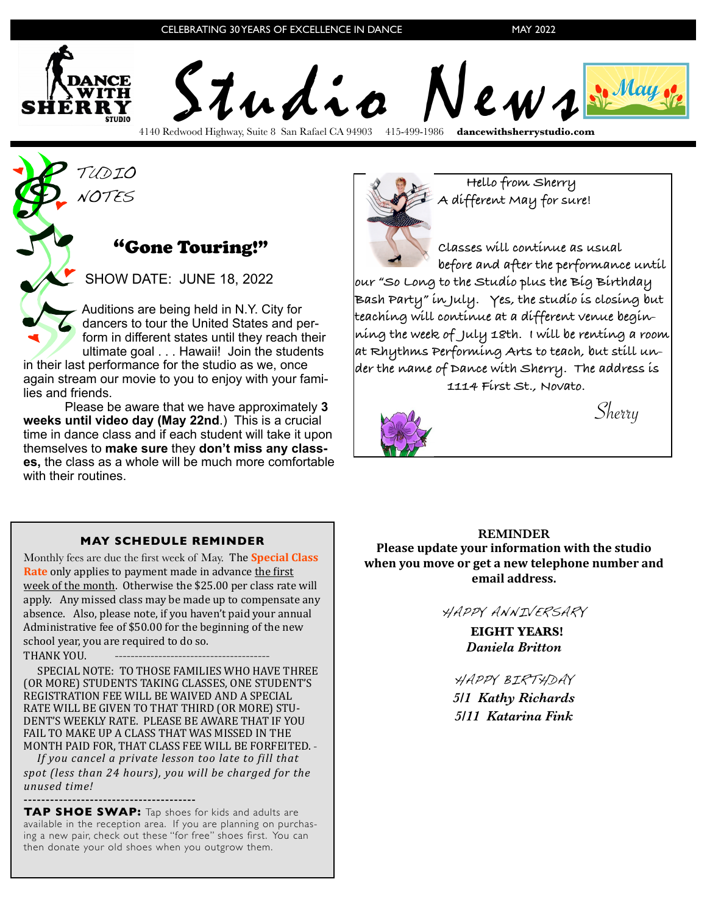

4140 Redwood Highway, Suite 8 San Rafael CA 94903 415-499-1986 **dancewithsherrystudio.com**

TUDIO NOTES

## "Gone Touring!"

SHOW DATE: JUNE 18, 2022

 Auditions are being held in N.Y. City for dancers to tour the United States and per form in different states until they reach their ultimate goal . . . Hawaii! Join the students

in their last performance for the studio as we, once again stream our movie to you to enjoy with your families and friends.

Please be aware that we have approximately **3 weeks until video day (May 22nd**.) This is a crucial time in dance class and if each student will take it upon themselves to **make sure** they **don't miss any classes,** the class as a whole will be much more comfortable with their routines.



 **Hello from Sherry A different May for sure!**

**Classes will continue as usual before and after the performance until our "So Long to the Studio plus the Big Birthday Bash Party" in July. Yes, the studio is closing but teaching will continue at a different venue beginning the week of July 18th. I will be renting a room at Rhythms Performing Arts to teach, but still under the name of Dance with Sherry. The address is** 

**1114 First St., Novato.**



Sherry

## **MAY SCHEDULE REMINDER**

Monthly fees are due the first week of May. The **Special Class Rate** only applies to payment made in advance the first week of the month. Otherwise the \$25.00 per class rate will apply. Any missed class may be made up to compensate any absence. Also, please note, if you haven't paid your annual Administrative fee of \$50.00 for the beginning of the new school year, you are required to do so.

THANK YOU.

SPECIAL NOTE: TO THOSE FAMILIES WHO HAVE THREE (OR MORE) STUDENTS TAKING CLASSES, ONE STUDENT'S REGISTRATION FEE WILL BE WAIVED AND A SPECIAL RATE WILL BE GIVEN TO THAT THIRD (OR MORE) STU-DENT'S WEEKLY RATE. PLEASE BE AWARE THAT IF YOU FAIL TO MAKE UP A CLASS THAT WAS MISSED IN THE MONTH PAID FOR, THAT CLASS FEE WILL BE FORFEITED. -

*If* you cancel a private lesson too late to fill that spot (less than 24 hours), you will be charged for the *unused time!*

## ---------------------------------------

**TAP SHOE SWAP:** Tap shoes for kids and adults are available in the reception area. If you are planning on purchasing a new pair, check out these "for free" shoes first. You can then donate your old shoes when you outgrow them.

**REMINDER**

**Please update your information with the studio** when you move or get a new telephone number and email address.

HAPPY ANNIVERSARY

 **EIGHT YEARS!** *Daniela Britton*

HAPPY BIRTHDAY

*5/1 Kathy Richards 5/11 Katarina Fink*